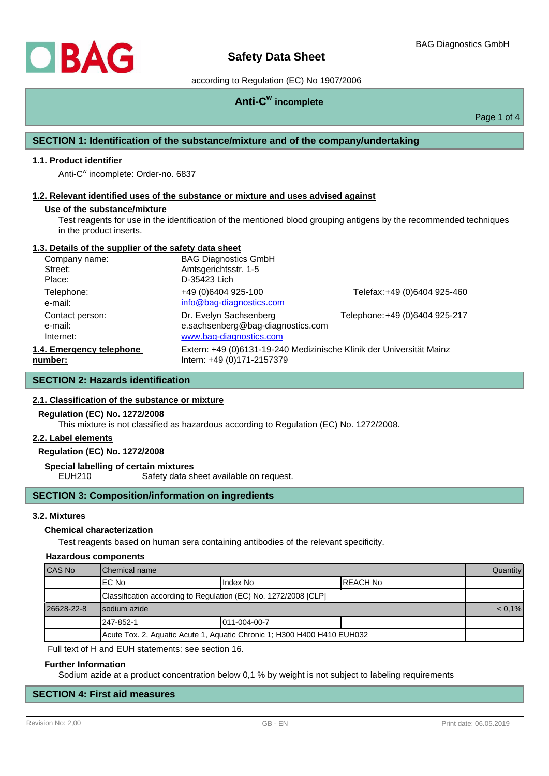# according to Regulation (EC) No 1907/2006

# **Anti-C w incomplete**

Page 1 of 4

# **SECTION 1: Identification of the substance/mixture and of the company/undertaking**

# **1.1. Product identifier**

Anti-C<sup>w</sup> incomplete: Order-no. 6837

### **1.2. Relevant identified uses of the substance or mixture and uses advised against**

#### **Use of the substance/mixture**

Test reagents for use in the identification of the mentioned blood grouping antigens by the recommended techniques in the product inserts.

# **1.3. Details of the supplier of the safety data sheet**

| Company name:            | <b>BAG Diagnostics GmbH</b>                                          |                                |
|--------------------------|----------------------------------------------------------------------|--------------------------------|
| Street:                  | Amtsgerichtsstr. 1-5                                                 |                                |
| Place:                   | D-35423 Lich                                                         |                                |
| Telephone:               | +49 (0)6404 925-100                                                  | Telefax: +49 (0)6404 925-460   |
| e-mail:                  | info@bag-diagnostics.com                                             |                                |
| Contact person:          | Dr. Evelyn Sachsenberg                                               | Telephone: +49 (0)6404 925-217 |
| e-mail:                  | e.sachsenberg@bag-diagnostics.com                                    |                                |
| Internet:                | www.bag-diagnostics.com                                              |                                |
| 1.4. Emergency telephone | Extern: +49 (0)6131-19-240 Medizinische Klinik der Universität Mainz |                                |
| number:                  | Intern: +49 (0)171-2157379                                           |                                |

# **SECTION 2: Hazards identification**

# **2.1. Classification of the substance or mixture**

## **Regulation (EC) No. 1272/2008**

This mixture is not classified as hazardous according to Regulation (EC) No. 1272/2008.

# **2.2. Label elements**

# **Regulation (EC) No. 1272/2008**

#### **Special labelling of certain mixtures**

EUH210 Safety data sheet available on request.

# **SECTION 3: Composition/information on ingredients**

#### **3.2. Mixtures**

### **Chemical characterization**

Test reagents based on human sera containing antibodies of the relevant specificity.

#### **Hazardous components**

| CAS No     | <b>I</b> Chemical name                                                  |               |                  | Quantity |
|------------|-------------------------------------------------------------------------|---------------|------------------|----------|
|            | IEC No                                                                  | Index No      | <b>IREACH No</b> |          |
|            | Classification according to Regulation (EC) No. 1272/2008 [CLP]         |               |                  |          |
| 26628-22-8 | Isodium azide                                                           |               | $< 0.1\%$        |          |
|            | l 247-852-1                                                             | 1011-004-00-7 |                  |          |
|            | Acute Tox. 2, Aquatic Acute 1, Aquatic Chronic 1; H300 H400 H410 EUH032 |               |                  |          |

Full text of H and EUH statements: see section 16.

#### **Further Information**

Sodium azide at a product concentration below 0,1 % by weight is not subject to labeling requirements

# **SECTION 4: First aid measures**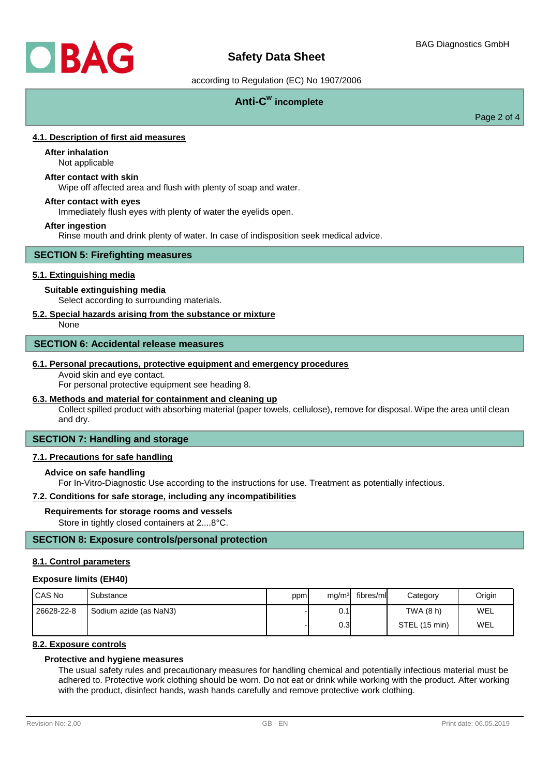

# according to Regulation (EC) No 1907/2006

# **Anti-C w incomplete**

Page 2 of 4

# **4.1. Description of first aid measures**

# **After inhalation**

Not applicable

# **After contact with skin**

Wipe off affected area and flush with plenty of soap and water.

### **After contact with eyes**

Immediately flush eyes with plenty of water the eyelids open.

#### **After ingestion**

Rinse mouth and drink plenty of water. In case of indisposition seek medical advice.

#### **SECTION 5: Firefighting measures**

## **5.1. Extinguishing media**

### **Suitable extinguishing media**

Select according to surrounding materials.

# **5.2. Special hazards arising from the substance or mixture**

None

### **SECTION 6: Accidental release measures**

#### **6.1. Personal precautions, protective equipment and emergency procedures**

Avoid skin and eye contact.

For personal protective equipment see heading 8.

# **6.3. Methods and material for containment and cleaning up**

Collect spilled product with absorbing material (paper towels, cellulose), remove for disposal. Wipe the area until clean and dry.

# **SECTION 7: Handling and storage**

#### **7.1. Precautions for safe handling**

## **Advice on safe handling**

For In-Vitro-Diagnostic Use according to the instructions for use. Treatment as potentially infectious.

## **7.2. Conditions for safe storage, including any incompatibilities**

#### **Requirements for storage rooms and vessels**

Store in tightly closed containers at 2....8°C.

# **SECTION 8: Exposure controls/personal protection**

# **8.1. Control parameters**

#### **Exposure limits (EH40)**

| I CAS No   | Substance              | ppm | mq/m <sup>3</sup> | fibres/ml | Category      | Origin |
|------------|------------------------|-----|-------------------|-----------|---------------|--------|
| 26628-22-8 | Sodium azide (as NaN3) |     | 0.1               |           | TWA (8 h)     | WEL    |
|            |                        |     | 0.3I              |           | STEL (15 min) | WEL    |

# **8.2. Exposure controls**

# **Protective and hygiene measures**

The usual safety rules and precautionary measures for handling chemical and potentially infectious material must be adhered to. Protective work clothing should be worn. Do not eat or drink while working with the product. After working with the product, disinfect hands, wash hands carefully and remove protective work clothing.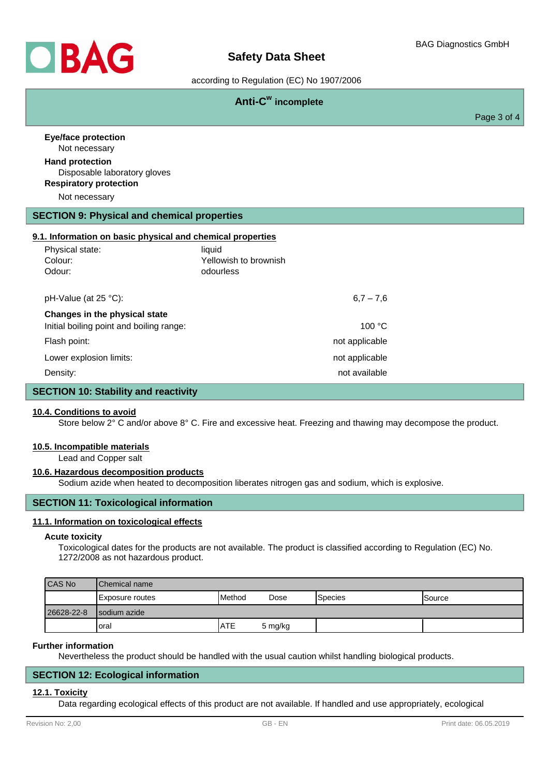

# **Safety Data Sheet**

according to Regulation (EC) No 1907/2006

|                                                                           | Anti-C <sup>w</sup> incomplete               |             |
|---------------------------------------------------------------------------|----------------------------------------------|-------------|
|                                                                           |                                              | Page 3 of 4 |
| <b>Eye/face protection</b><br>Not necessary                               |                                              |             |
| <b>Hand protection</b><br>Disposable laboratory gloves                    |                                              |             |
| <b>Respiratory protection</b>                                             |                                              |             |
| Not necessary                                                             |                                              |             |
| <b>SECTION 9: Physical and chemical properties</b>                        |                                              |             |
| 9.1. Information on basic physical and chemical properties                |                                              |             |
| Physical state:<br>Colour:<br>Odour:                                      | liquid<br>Yellowish to brownish<br>odourless |             |
| pH-Value (at 25 °C):                                                      | $6,7 - 7,6$                                  |             |
| Changes in the physical state<br>Initial boiling point and boiling range: | 100 °C                                       |             |
| Flash point:                                                              | not applicable                               |             |
| Lower explosion limits:                                                   | not applicable                               |             |
| Density:                                                                  | not available                                |             |
| <b>SECTION 10: Stability and reactivity</b>                               |                                              |             |

#### **10.4. Conditions to avoid**

Store below 2° C and/or above 8° C. Fire and excessive heat. Freezing and thawing may decompose the product.

#### **10.5. Incompatible materials**

Lead and Copper salt

#### **10.6. Hazardous decomposition products**

Sodium azide when heated to decomposition liberates nitrogen gas and sodium, which is explosive.

# **SECTION 11: Toxicological information**

### **11.1. Information on toxicological effects**

#### **Acute toxicity**

Toxicological dates for the products are not available. The product is classified according to Regulation (EC) No. 1272/2008 as not hazardous product.

| <b>CAS No</b> | <b>IChemical name</b> |                 |         |                 |         |
|---------------|-----------------------|-----------------|---------|-----------------|---------|
|               | IExposure routes      | <b>I</b> Method | Dose    | <b>S</b> pecies | ISource |
| 26628-22-8    | Isodium azide         |                 |         |                 |         |
|               | Ioral                 | <b>ATE</b>      | 5 mg/kg |                 |         |

#### **Further information**

Nevertheless the product should be handled with the usual caution whilst handling biological products.

## **SECTION 12: Ecological information**

#### **12.1. Toxicity**

Data regarding ecological effects of this product are not available. If handled and use appropriately, ecological